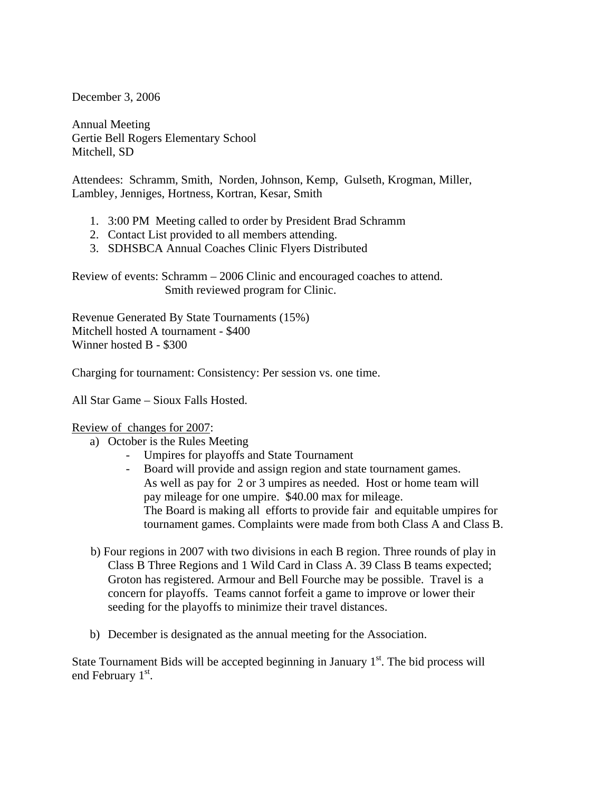December 3, 2006

Annual Meeting Gertie Bell Rogers Elementary School Mitchell, SD

Attendees: Schramm, Smith, Norden, Johnson, Kemp, Gulseth, Krogman, Miller, Lambley, Jenniges, Hortness, Kortran, Kesar, Smith

- 1. 3:00 PM Meeting called to order by President Brad Schramm
- 2. Contact List provided to all members attending.
- 3. SDHSBCA Annual Coaches Clinic Flyers Distributed

Review of events: Schramm – 2006 Clinic and encouraged coaches to attend. Smith reviewed program for Clinic.

Revenue Generated By State Tournaments (15%) Mitchell hosted A tournament - \$400 Winner hosted B - \$300

Charging for tournament: Consistency: Per session vs. one time.

All Star Game – Sioux Falls Hosted.

## Review of changes for 2007:

- a) October is the Rules Meeting
	- Umpires for playoffs and State Tournament
	- Board will provide and assign region and state tournament games. As well as pay for 2 or 3 umpires as needed. Host or home team will pay mileage for one umpire. \$40.00 max for mileage. The Board is making all efforts to provide fair and equitable umpires for tournament games. Complaints were made from both Class A and Class B.
- b) Four regions in 2007 with two divisions in each B region. Three rounds of play in Class B Three Regions and 1 Wild Card in Class A. 39 Class B teams expected; Groton has registered. Armour and Bell Fourche may be possible. Travel is a concern for playoffs. Teams cannot forfeit a game to improve or lower their seeding for the playoffs to minimize their travel distances.
- b) December is designated as the annual meeting for the Association.

State Tournament Bids will be accepted beginning in January  $1<sup>st</sup>$ . The bid process will end February 1<sup>st</sup>.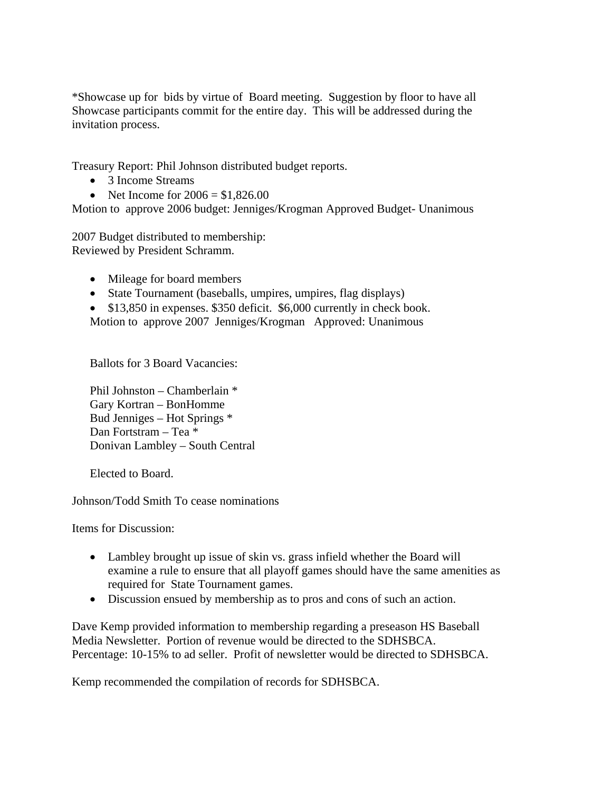\*Showcase up for bids by virtue of Board meeting. Suggestion by floor to have all Showcase participants commit for the entire day. This will be addressed during the invitation process.

Treasury Report: Phil Johnson distributed budget reports.

- 3 Income Streams
- Net Income for  $2006 = $1,826.00$

Motion to approve 2006 budget: Jenniges/Krogman Approved Budget- Unanimous

2007 Budget distributed to membership: Reviewed by President Schramm.

- Mileage for board members
- State Tournament (baseballs, umpires, umpires, flag displays)
- \$13,850 in expenses. \$350 deficit. \$6,000 currently in check book. Motion to approve 2007 Jenniges/Krogman Approved: Unanimous

Ballots for 3 Board Vacancies:

Phil Johnston – Chamberlain \* Gary Kortran – BonHomme Bud Jenniges – Hot Springs \* Dan Fortstram – Tea \* Donivan Lambley – South Central

Elected to Board.

Johnson/Todd Smith To cease nominations

Items for Discussion:

- Lambley brought up issue of skin vs. grass infield whether the Board will examine a rule to ensure that all playoff games should have the same amenities as required for State Tournament games.
- Discussion ensued by membership as to pros and cons of such an action.

Dave Kemp provided information to membership regarding a preseason HS Baseball Media Newsletter. Portion of revenue would be directed to the SDHSBCA. Percentage: 10-15% to ad seller. Profit of newsletter would be directed to SDHSBCA.

Kemp recommended the compilation of records for SDHSBCA.